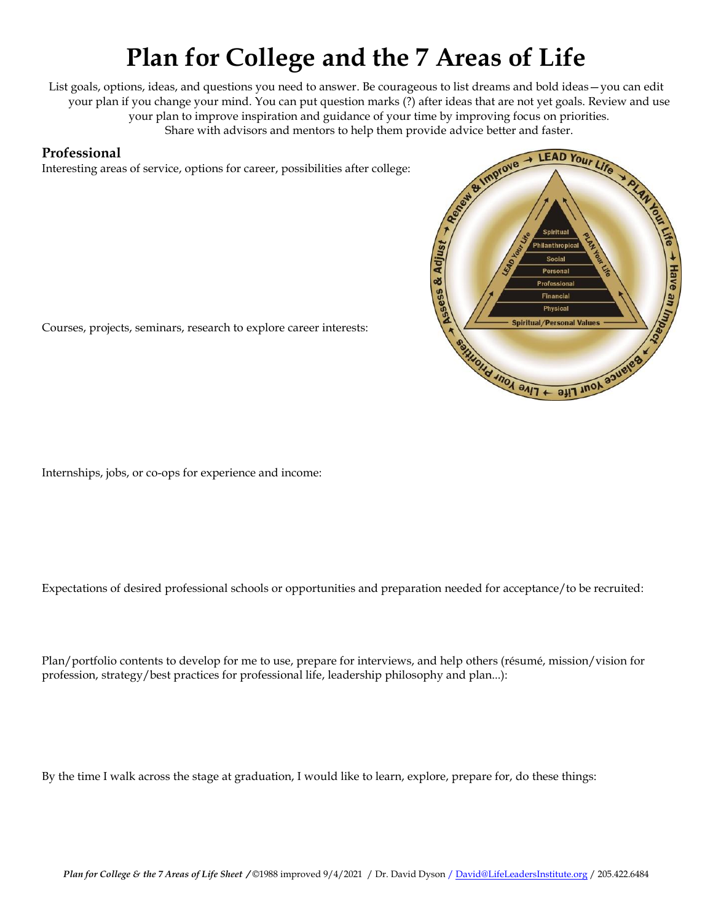# **Plan for College and the 7 Areas of Life**

List goals, options, ideas, and questions you need to answer. Be courageous to list dreams and bold ideas—you can edit your plan if you change your mind. You can put question marks (?) after ideas that are not yet goals. Review and use your plan to improve inspiration and guidance of your time by improving focus on priorities. Share with advisors and mentors to help them provide advice better and faster.

#### **Professional**

Interesting areas of service, options for career, possibilities after college:



Courses, projects, seminars, research to explore career interests:

Internships, jobs, or co-ops for experience and income:

Expectations of desired professional schools or opportunities and preparation needed for acceptance/to be recruited:

Plan/portfolio contents to develop for me to use, prepare for interviews, and help others (résumé, mission/vision for profession, strategy/best practices for professional life, leadership philosophy and plan...):

By the time I walk across the stage at graduation, I would like to learn, explore, prepare for, do these things: